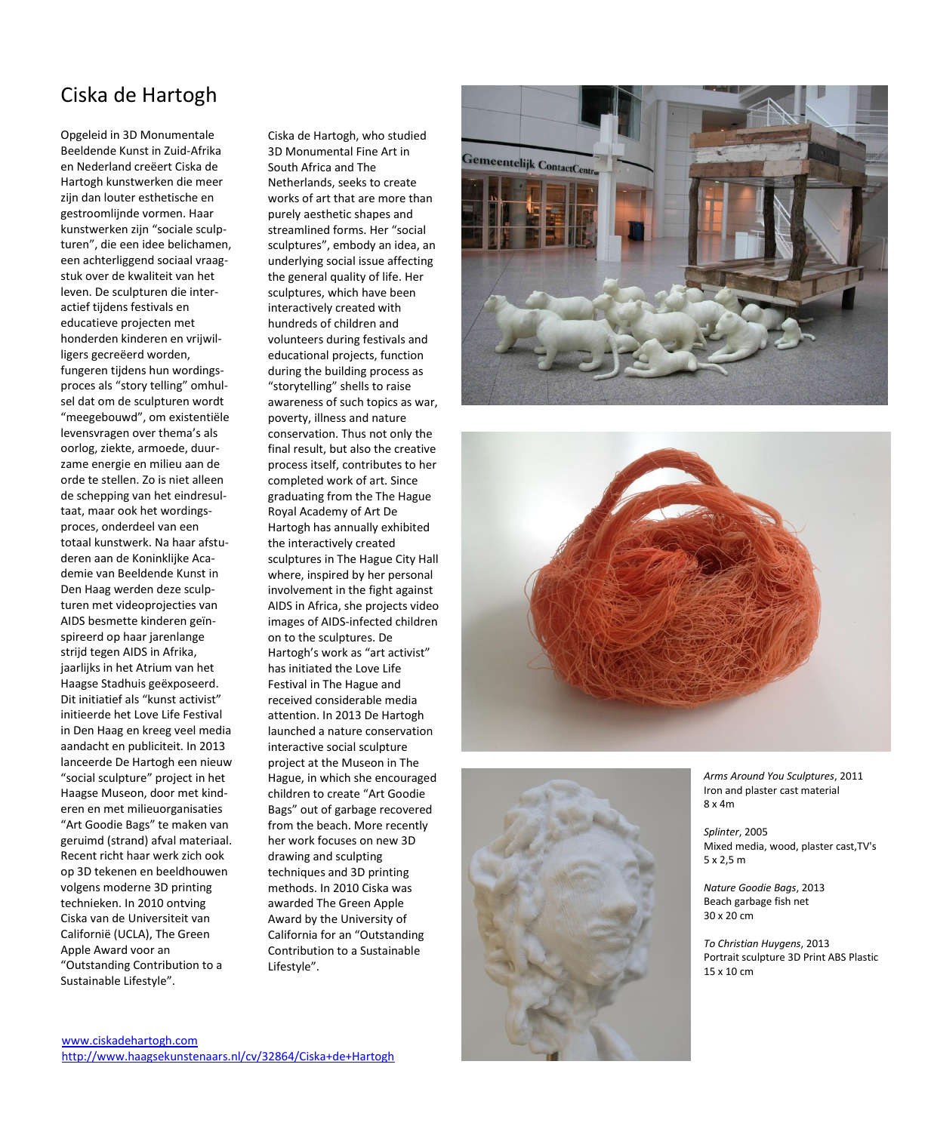## Ciska de Hartogh

Opgeleid in 3D Monumentale Beeldende Kunst in Zuid -Afrika en Nederland creëert Ciska de Hartogh kunstwerken die meer zijn dan louter esthetische en gestroomlijnde vormen. Haar kunstwerken zijn "sociale sculp turen", die een idee belichamen, een achterliggend sociaal vraag stuk over de kwaliteit van het leven. De sculpturen die inter actief tijdens festivals en educatieve projecten met honderden kinderen en vrijwil ligers gecreëerd worden, fungeren tijdens hun wordings proces als "story telling" omhul sel dat om de sculpturen wordt "meegebouwd", om existentiële levensvragen over thema's als oorlog, ziekte, armoede, duur zame energie en milieu aan de orde te stellen. Zo is niet alleen de schepping van het eindresul taat, maar ook het wordings proces, onderdeel van een totaal kunstwerk. Na haar afstu deren aan de Koninklijke Aca demie van Beeldende Kunst in Den Haag werden deze sculp turen met videoprojecties van AIDS besmette kinderen geïn spireerd op haar jarenlange strijd tegen AIDS in Afrika, jaarlijks in het Atrium van het Haagse Stadhuis geëxposeerd. Dit initiatief als "kunst activist" initieerde het Love Life Festival in Den Haag en kreeg veel media aandacht en publiciteit. In 2013 lanceerde De Hartogh een nieuw "social sculpture" project in het Haagse Museon, door met kind eren en met milieuorganisaties "Art Goodie Bags" te maken van geruimd (strand) afval materiaal. Recent richt haar werk zich ook op 3D tekenen en beeldhouwen volgens moderne 3D printing technieken. In 2010 ontving Ciska van de Universiteit van Californië (UCLA), The Green Apple Award voor an "Outstanding Contribution to a Sustainable Lifestyle".

Ciska de Hartogh, who studied 3D Monumental Fine Art in South Africa and The Netherlands, seeks to create works of art that are more than purely aesthetic shapes and streamlined forms. Her "social sculptures", embody an idea, an underlying social issue affecting the general quality of life. Her sculptures, which have been interactively created with hundreds of children and volunteers during festivals and educational projects, function during the building process as "storytelling" shells to raise awareness of such topics as war, poverty, illness and nature conservation. Thus not only the final result, but also the creative process itself, contributes to her completed work of art. Since graduating from the The Hague Royal Academy of Art De Hartogh has annually exhibited the interactively created sculptures in The Hague City Hall where, inspired by her personal involvement in the fight against AIDS in Africa, she projects video images of AIDS -infected children on to the sculptures. De Hartogh's work as "art activist" has initiated the Love Life Festival in The Hague and received considerable media attention. In 2013 De Hartogh launched a nature conservation interactive social sculpture project at the Museon in The Hague, in which she encouraged children to create "Art Goodie Bags" out of garbage recovered from the beach. More recently her work focuses on new 3D drawing and sculpting techniques and 3D printing methods. In 2010 Ciska was awarded The Green Apple Award by the University of California for an "Outstanding Contribution to a Sustainable Lifestyle".







*Arms Around You Sculptures*, 2011 Iron and plaster cast material 8 x 4m

*Splinter*, 2005 Mixed media, wood, plaster cast,TV's 5 x 2,5 m

*Nature Goodie Bags*, 2013 Beach garbage fish net 30 x 20 c m

*To Christian Huygens*, 2013 Portrait sculpture 3D Print ABS Plastic 15 x 10 c m